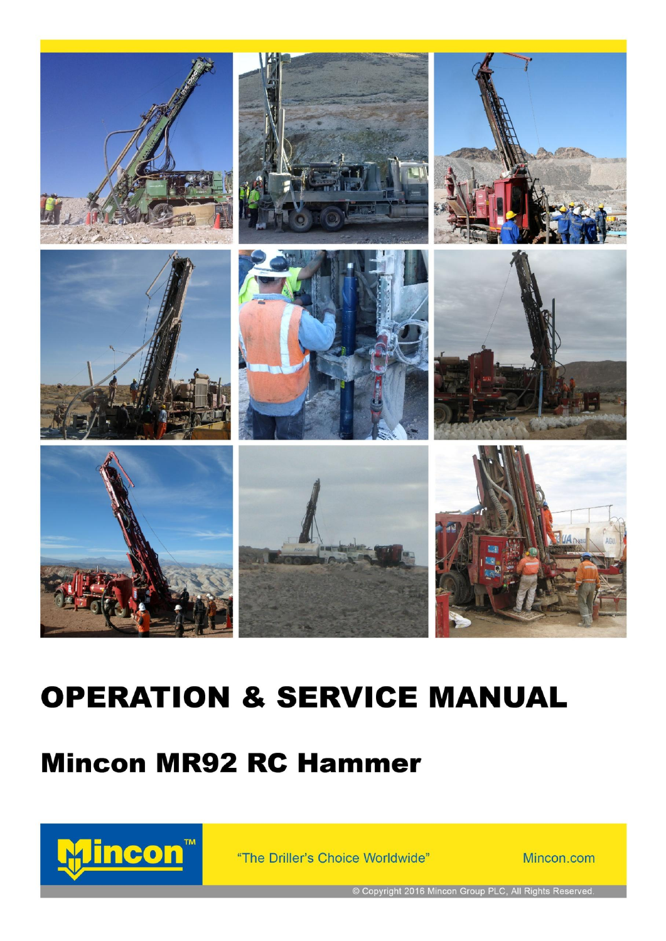

















# **OPERATION & SERVICE MANUAL**

# **Mincon MR92 RC Hammer**



"The Driller's Choice Worldwide"

Mincon.com

© Copyright 2016 Mincon Group PLC, All Rights Reserved.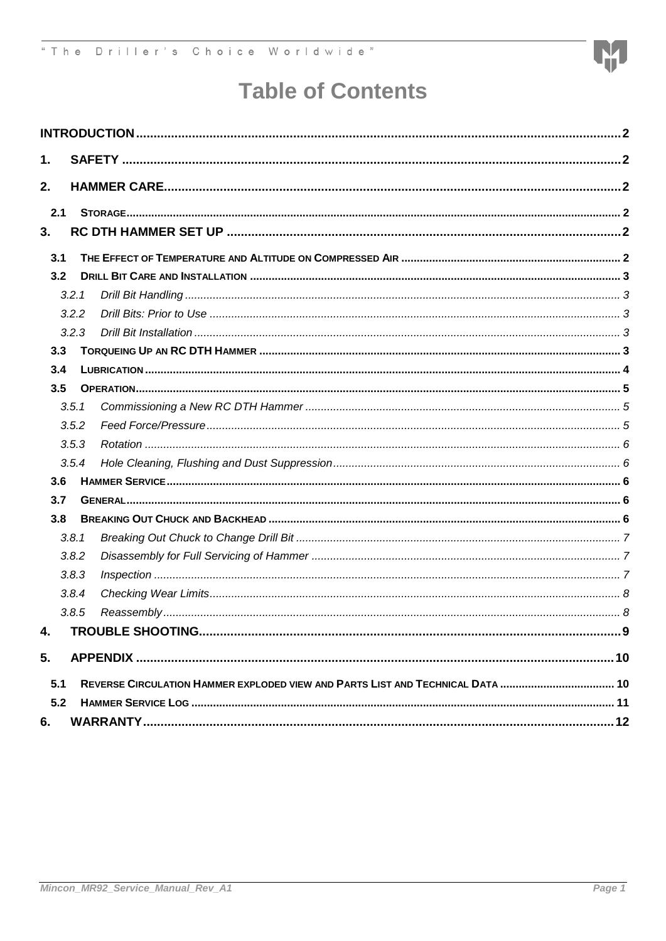

## **Table of Contents**

| 1.  |       |  |
|-----|-------|--|
| 2.  |       |  |
| 2.1 |       |  |
| 3.  |       |  |
| 3.1 |       |  |
| 3.2 |       |  |
|     | 3.2.1 |  |
|     | 3.2.2 |  |
|     | 3.2.3 |  |
| 3.3 |       |  |
| 3.4 |       |  |
| 3.5 |       |  |
|     | 3.5.1 |  |
|     | 3.5.2 |  |
|     | 3.5.3 |  |
|     | 3.5.4 |  |
| 3.6 |       |  |
| 3.7 |       |  |
| 3.8 |       |  |
|     | 3.8.1 |  |
|     | 3.8.2 |  |
|     | 3.8.3 |  |
|     | 3.8.4 |  |
|     | 3.8.5 |  |
| 4.  |       |  |
| 5.  |       |  |
| 5.1 |       |  |
| 5.2 |       |  |
|     |       |  |
| 6.  |       |  |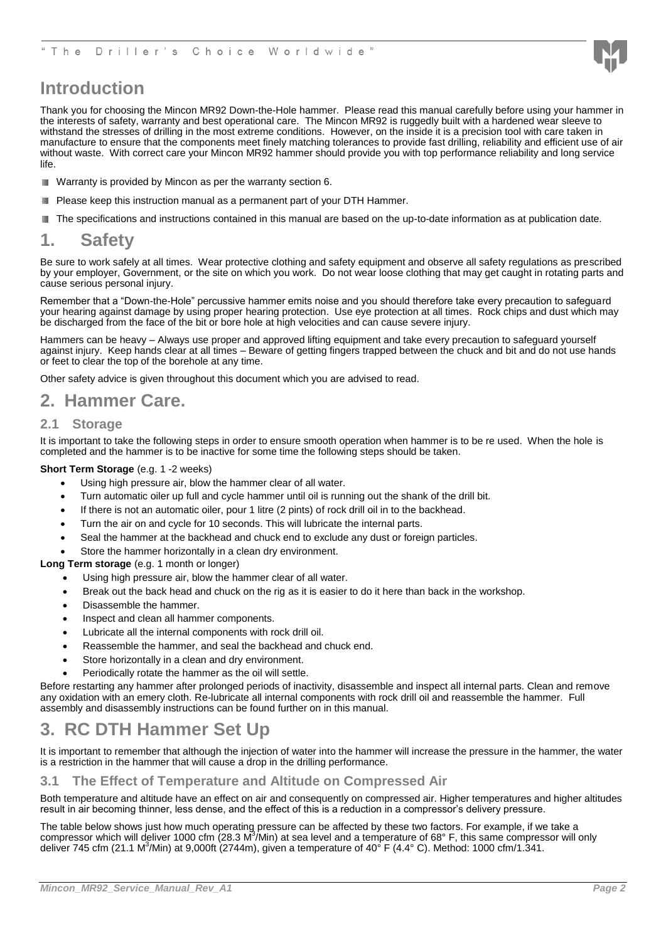

### <span id="page-2-0"></span>**Introduction**

Thank you for choosing the Mincon MR92 Down-the-Hole hammer. Please read this manual carefully before using your hammer in the interests of safety, warranty and best operational care. The Mincon MR92 is ruggedly built with a hardened wear sleeve to withstand the stresses of drilling in the most extreme conditions. However, on the inside it is a precision tool with care taken in manufacture to ensure that the components meet finely matching tolerances to provide fast drilling, reliability and efficient use of air without waste. With correct care your Mincon MR92 hammer should provide you with top performance reliability and long service life.

- Warranty is provided by Mincon as per the warranty section 6.
- Please keep this instruction manual as a permanent part of your DTH Hammer. É.
- The specifications and instructions contained in this manual are based on the up-to-date information as at publication date. 籣

### <span id="page-2-1"></span>**1. Safety**

Be sure to work safely at all times. Wear protective clothing and safety equipment and observe all safety regulations as prescribed by your employer, Government, or the site on which you work. Do not wear loose clothing that may get caught in rotating parts and cause serious personal injury.

Remember that a "Down-the-Hole" percussive hammer emits noise and you should therefore take every precaution to safeguard your hearing against damage by using proper hearing protection. Use eye protection at all times. Rock chips and dust which may be discharged from the face of the bit or bore hole at high velocities and can cause severe injury.

Hammers can be heavy – Always use proper and approved lifting equipment and take every precaution to safeguard yourself against injury. Keep hands clear at all times – Beware of getting fingers trapped between the chuck and bit and do not use hands or feet to clear the top of the borehole at any time.

Other safety advice is given throughout this document which you are advised to read.

### <span id="page-2-2"></span>**2. Hammer Care.**

#### <span id="page-2-3"></span>**2.1 Storage**

It is important to take the following steps in order to ensure smooth operation when hammer is to be re used. When the hole is completed and the hammer is to be inactive for some time the following steps should be taken.

#### **Short Term Storage** (e.g. 1 -2 weeks)

- Using high pressure air, blow the hammer clear of all water.
- Turn automatic oiler up full and cycle hammer until oil is running out the shank of the drill bit.
- If there is not an automatic oiler, pour 1 litre (2 pints) of rock drill oil in to the backhead.
- Turn the air on and cycle for 10 seconds. This will lubricate the internal parts.
- Seal the hammer at the backhead and chuck end to exclude any dust or foreign particles.
- Store the hammer horizontally in a clean dry environment.

#### **Long Term storage** (e.g. 1 month or longer)

- Using high pressure air, blow the hammer clear of all water.
- Break out the back head and chuck on the rig as it is easier to do it here than back in the workshop.
- Disassemble the hammer.
- Inspect and clean all hammer components.
- Lubricate all the internal components with rock drill oil.
- Reassemble the hammer, and seal the backhead and chuck end.
- Store horizontally in a clean and dry environment.
- Periodically rotate the hammer as the oil will settle.

Before restarting any hammer after prolonged periods of inactivity, disassemble and inspect all internal parts. Clean and remove any oxidation with an emery cloth. Re-lubricate all internal components with rock drill oil and reassemble the hammer. Full assembly and disassembly instructions can be found further on in this manual.

### <span id="page-2-4"></span>**3. RC DTH Hammer Set Up**

It is important to remember that although the injection of water into the hammer will increase the pressure in the hammer, the water is a restriction in the hammer that will cause a drop in the drilling performance.

<span id="page-2-5"></span>**3.1 The Effect of Temperature and Altitude on Compressed Air**

Both temperature and altitude have an effect on air and consequently on compressed air. Higher temperatures and higher altitudes result in air becoming thinner, less dense, and the effect of this is a reduction in a compressor's delivery pressure.

The table below shows just how much operating pressure can be affected by these two factors. For example, if we take a compressor which will deliver 1000 cfm (28.3 M<sup>3</sup>/Min) at sea level and a temperature of 68° F, this same compressor will only deliver 745 cfm (21.1 M<sup>3</sup>/Min) at 9,000ft (2744m), given a temperature of 40° F (4.4° C). Method: 1000 cfm/1.341.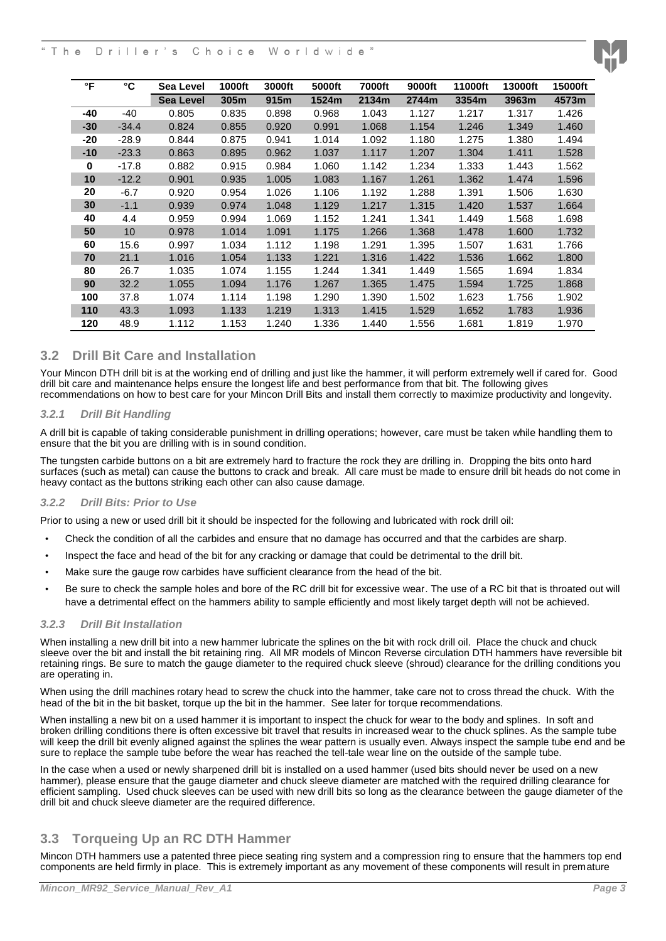#### T h e Driller's Choice Worldwide"



#### <span id="page-3-0"></span>**3.2 Drill Bit Care and Installation**

Your Mincon DTH drill bit is at the working end of drilling and just like the hammer, it will perform extremely well if cared for. Good drill bit care and maintenance helps ensure the longest life and best performance from that bit. The following gives recommendations on how to best care for your Mincon Drill Bits and install them correctly to maximize productivity and longevity.

#### <span id="page-3-1"></span>*3.2.1 Drill Bit Handling*

A drill bit is capable of taking considerable punishment in drilling operations; however, care must be taken while handling them to ensure that the bit you are drilling with is in sound condition.

The tungsten carbide buttons on a bit are extremely hard to fracture the rock they are drilling in. Dropping the bits onto hard surfaces (such as metal) can cause the buttons to crack and break. All care must be made to ensure drill bit heads do not come in heavy contact as the buttons striking each other can also cause damage.

#### <span id="page-3-2"></span>*3.2.2 Drill Bits: Prior to Use*

Prior to using a new or used drill bit it should be inspected for the following and lubricated with rock drill oil:

- Check the condition of all the carbides and ensure that no damage has occurred and that the carbides are sharp.
- Inspect the face and head of the bit for any cracking or damage that could be detrimental to the drill bit.
- Make sure the gauge row carbides have sufficient clearance from the head of the bit.
- Be sure to check the sample holes and bore of the RC drill bit for excessive wear. The use of a RC bit that is throated out will have a detrimental effect on the hammers ability to sample efficiently and most likely target depth will not be achieved.

#### <span id="page-3-3"></span>*3.2.3 Drill Bit Installation*

When installing a new drill bit into a new hammer lubricate the splines on the bit with rock drill oil. Place the chuck and chuck sleeve over the bit and install the bit retaining ring. All MR models of Mincon Reverse circulation DTH hammers have reversible bit retaining rings. Be sure to match the gauge diameter to the required chuck sleeve (shroud) clearance for the drilling conditions you are operating in.

When using the drill machines rotary head to screw the chuck into the hammer, take care not to cross thread the chuck. With the head of the bit in the bit basket, torque up the bit in the hammer. See later for torque recommendations.

When installing a new bit on a used hammer it is important to inspect the chuck for wear to the body and splines. In soft and broken drilling conditions there is often excessive bit travel that results in increased wear to the chuck splines. As the sample tube will keep the drill bit evenly aligned against the splines the wear pattern is usually even. Always inspect the sample tube end and be sure to replace the sample tube before the wear has reached the tell-tale wear line on the outside of the sample tube.

In the case when a used or newly sharpened drill bit is installed on a used hammer (used bits should never be used on a new hammer), please ensure that the gauge diameter and chuck sleeve diameter are matched with the required drilling clearance for efficient sampling. Used chuck sleeves can be used with new drill bits so long as the clearance between the gauge diameter of the drill bit and chuck sleeve diameter are the required difference.

### <span id="page-3-4"></span>**3.3 Torqueing Up an RC DTH Hammer**

Mincon DTH hammers use a patented three piece seating ring system and a compression ring to ensure that the hammers top end components are held firmly in place. This is extremely important as any movement of these components will result in premature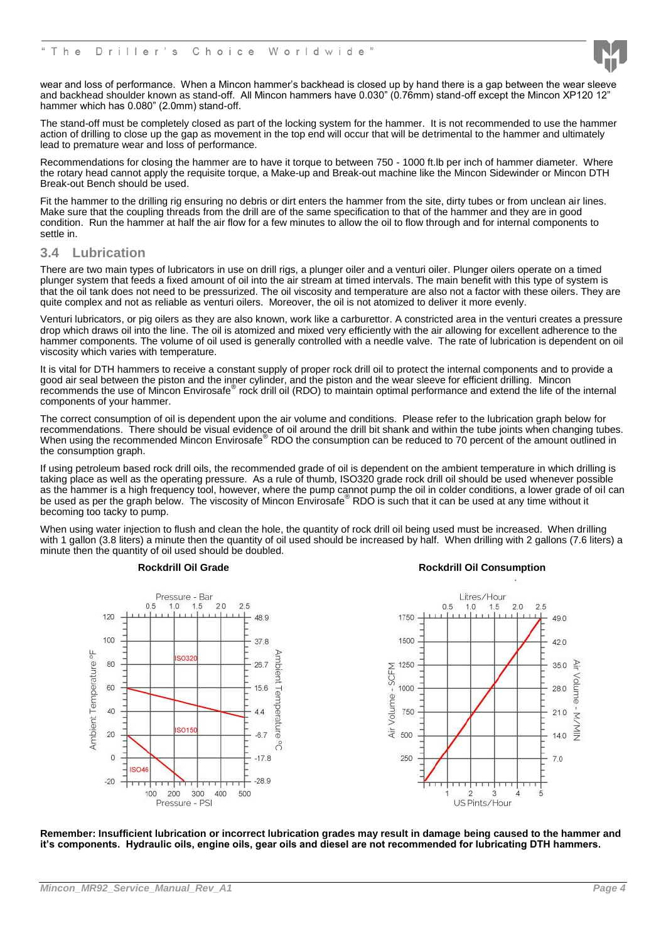

wear and loss of performance. When a Mincon hammer's backhead is closed up by hand there is a gap between the wear sleeve and backhead shoulder known as stand-off. All Mincon hammers have 0.030" (0.76mm) stand-off except the Mincon XP120 12" hammer which has 0.080" (2.0mm) stand-off.

The stand-off must be completely closed as part of the locking system for the hammer. It is not recommended to use the hammer action of drilling to close up the gap as movement in the top end will occur that will be detrimental to the hammer and ultimately lead to premature wear and loss of performance.

Recommendations for closing the hammer are to have it torque to between 750 - 1000 ft.lb per inch of hammer diameter. Where the rotary head cannot apply the requisite torque, a Make-up and Break-out machine like the Mincon Sidewinder or Mincon DTH Break-out Bench should be used.

Fit the hammer to the drilling rig ensuring no debris or dirt enters the hammer from the site, dirty tubes or from unclean air lines. Make sure that the coupling threads from the drill are of the same specification to that of the hammer and they are in good condition. Run the hammer at half the air flow for a few minutes to allow the oil to flow through and for internal components to settle in.

#### <span id="page-4-0"></span>**3.4 Lubrication**

There are two main types of lubricators in use on drill rigs, a plunger oiler and a venturi oiler. Plunger oilers operate on a timed plunger system that feeds a fixed amount of oil into the air stream at timed intervals. The main benefit with this type of system is that the oil tank does not need to be pressurized. The oil viscosity and temperature are also not a factor with these oilers. They are quite complex and not as reliable as venturi oilers. Moreover, the oil is not atomized to deliver it more evenly.

Venturi lubricators, or pig oilers as they are also known, work like a carburettor. A constricted area in the venturi creates a pressure drop which draws oil into the line. The oil is atomized and mixed very efficiently with the air allowing for excellent adherence to the hammer components. The volume of oil used is generally controlled with a needle valve. The rate of lubrication is dependent on oil viscosity which varies with temperature.

It is vital for DTH hammers to receive a constant supply of proper rock drill oil to protect the internal components and to provide a good air seal between the piston and the inner cylinder, and the piston and the wear sleeve for efficient drilling. Mincon recommends the use of Mincon Envirosafe® rock drill oil (RDO) to maintain optimal performance and extend the life of the internal components of your hammer.

The correct consumption of oil is dependent upon the air volume and conditions. Please refer to the lubrication graph below for recommendations. There should be visual evidence of oil around the drill bit shank and within the tube joints when changing tubes. When using the recommended Mincon Envirosafe® RDO the consumption can be reduced to 70 percent of the amount outlined in the consumption graph.

If using petroleum based rock drill oils, the recommended grade of oil is dependent on the ambient temperature in which drilling is taking place as well as the operating pressure. As a rule of thumb, ISO320 grade rock drill oil should be used whenever possible as the hammer is a high frequency tool, however, where the pump cannot pump the oil in colder conditions, a lower grade of oil can<br>be used as per the graph below. The viscosity of Mincon Envirosafe® RDO is such that it can becoming too tacky to pump.

When using water injection to flush and clean the hole, the quantity of rock drill oil being used must be increased. When drilling with 1 gallon (3.8 liters) a minute then the quantity of oil used should be increased by half. When drilling with 2 gallons (7.6 liters) a minute then the quantity of oil used should be doubled.



#### **Rockdrill Oil Grade Rockdrill Oil Consumption**



**Remember: Insufficient lubrication or incorrect lubrication grades may result in damage being caused to the hammer and it's components. Hydraulic oils, engine oils, gear oils and diesel are not recommended for lubricating DTH hammers.**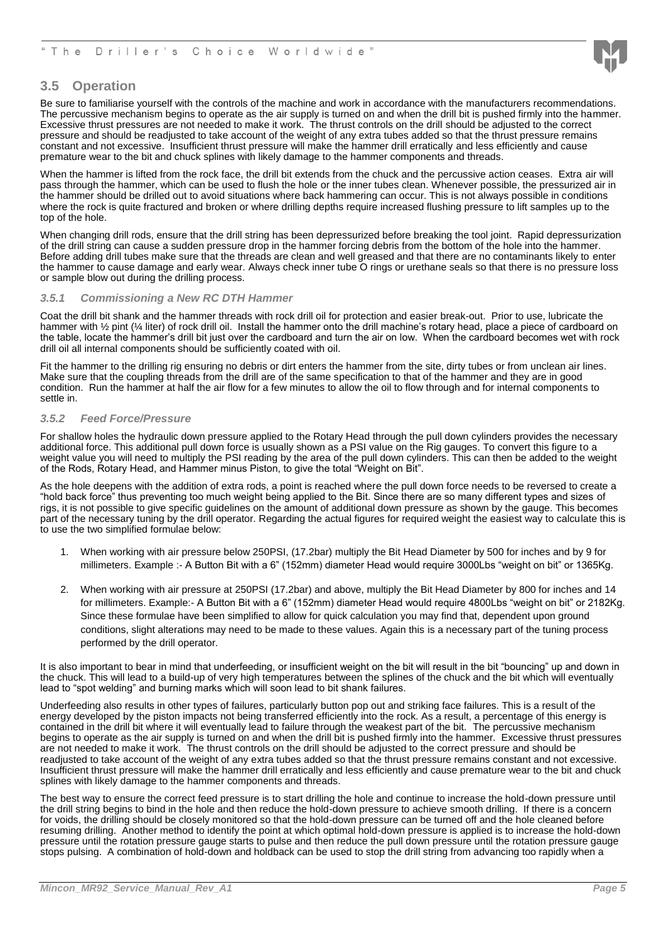

#### <span id="page-5-0"></span>**3.5 Operation**

Be sure to familiarise yourself with the controls of the machine and work in accordance with the manufacturers recommendations. The percussive mechanism begins to operate as the air supply is turned on and when the drill bit is pushed firmly into the hammer. Excessive thrust pressures are not needed to make it work. The thrust controls on the drill should be adjusted to the correct pressure and should be readjusted to take account of the weight of any extra tubes added so that the thrust pressure remains constant and not excessive. Insufficient thrust pressure will make the hammer drill erratically and less efficiently and cause premature wear to the bit and chuck splines with likely damage to the hammer components and threads.

When the hammer is lifted from the rock face, the drill bit extends from the chuck and the percussive action ceases. Extra air will pass through the hammer, which can be used to flush the hole or the inner tubes clean. Whenever possible, the pressurized air in the hammer should be drilled out to avoid situations where back hammering can occur. This is not always possible in conditions where the rock is quite fractured and broken or where drilling depths require increased flushing pressure to lift samples up to the top of the hole.

When changing drill rods, ensure that the drill string has been depressurized before breaking the tool joint. Rapid depressurization of the drill string can cause a sudden pressure drop in the hammer forcing debris from the bottom of the hole into the hammer. Before adding drill tubes make sure that the threads are clean and well greased and that there are no contaminants likely to enter the hammer to cause damage and early wear. Always check inner tube O rings or urethane seals so that there is no pressure loss or sample blow out during the drilling process.

#### <span id="page-5-1"></span>*3.5.1 Commissioning a New RC DTH Hammer*

Coat the drill bit shank and the hammer threads with rock drill oil for protection and easier break-out. Prior to use, lubricate the hammer with ½ pint (¼ liter) of rock drill oil. Install the hammer onto the drill machine's rotary head, place a piece of cardboard on the table, locate the hammer's drill bit just over the cardboard and turn the air on low. When the cardboard becomes wet with rock drill oil all internal components should be sufficiently coated with oil.

Fit the hammer to the drilling rig ensuring no debris or dirt enters the hammer from the site, dirty tubes or from unclean air lines. Make sure that the coupling threads from the drill are of the same specification to that of the hammer and they are in good condition. Run the hammer at half the air flow for a few minutes to allow the oil to flow through and for internal components to settle in.

#### <span id="page-5-2"></span>*3.5.2 Feed Force/Pressure*

For shallow holes the hydraulic down pressure applied to the Rotary Head through the pull down cylinders provides the necessary additional force. This additional pull down force is usually shown as a PSI value on the Rig gauges. To convert this figure to a weight value you will need to multiply the PSI reading by the area of the pull down cylinders. This can then be added to the weight of the Rods, Rotary Head, and Hammer minus Piston, to give the total "Weight on Bit".

As the hole deepens with the addition of extra rods, a point is reached where the pull down force needs to be reversed to create a "hold back force" thus preventing too much weight being applied to the Bit. Since there are so many different types and sizes of rigs, it is not possible to give specific guidelines on the amount of additional down pressure as shown by the gauge. This becomes part of the necessary tuning by the drill operator. Regarding the actual figures for required weight the easiest way to calculate this is to use the two simplified formulae below:

- 1. When working with air pressure below 250PSI, (17.2bar) multiply the Bit Head Diameter by 500 for inches and by 9 for millimeters. Example :- A Button Bit with a 6" (152mm) diameter Head would require 3000Lbs "weight on bit" or 1365Kg.
- 2. When working with air pressure at 250PSI (17.2bar) and above, multiply the Bit Head Diameter by 800 for inches and 14 for millimeters. Example:- A Button Bit with a 6" (152mm) diameter Head would require 4800Lbs "weight on bit" or 2182Kg. Since these formulae have been simplified to allow for quick calculation you may find that, dependent upon ground conditions, slight alterations may need to be made to these values. Again this is a necessary part of the tuning process performed by the drill operator.

It is also important to bear in mind that underfeeding, or insufficient weight on the bit will result in the bit "bouncing" up and down in the chuck. This will lead to a build-up of very high temperatures between the splines of the chuck and the bit which will eventually lead to "spot welding" and burning marks which will soon lead to bit shank failures.

Underfeeding also results in other types of failures, particularly button pop out and striking face failures. This is a result of the energy developed by the piston impacts not being transferred efficiently into the rock. As a result, a percentage of this energy is contained in the drill bit where it will eventually lead to failure through the weakest part of the bit. The percussive mechanism begins to operate as the air supply is turned on and when the drill bit is pushed firmly into the hammer. Excessive thrust pressures are not needed to make it work. The thrust controls on the drill should be adjusted to the correct pressure and should be readjusted to take account of the weight of any extra tubes added so that the thrust pressure remains constant and not excessive. Insufficient thrust pressure will make the hammer drill erratically and less efficiently and cause premature wear to the bit and chuck splines with likely damage to the hammer components and threads.

The best way to ensure the correct feed pressure is to start drilling the hole and continue to increase the hold-down pressure until the drill string begins to bind in the hole and then reduce the hold-down pressure to achieve smooth drilling. If there is a concern for voids, the drilling should be closely monitored so that the hold-down pressure can be turned off and the hole cleaned before resuming drilling. Another method to identify the point at which optimal hold-down pressure is applied is to increase the hold-down pressure until the rotation pressure gauge starts to pulse and then reduce the pull down pressure until the rotation pressure gauge stops pulsing. A combination of hold-down and holdback can be used to stop the drill string from advancing too rapidly when a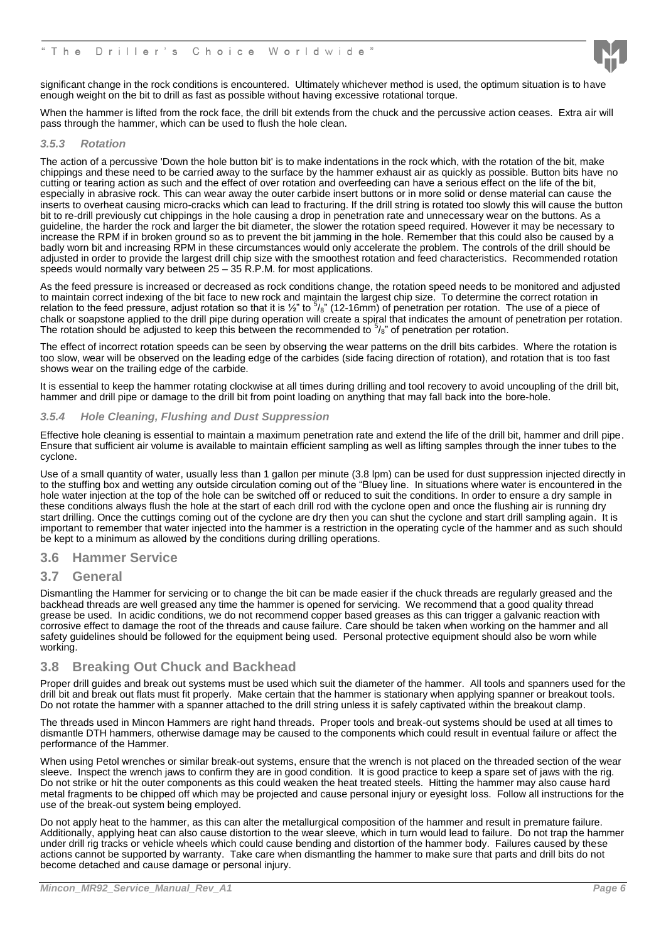

significant change in the rock conditions is encountered. Ultimately whichever method is used, the optimum situation is to have enough weight on the bit to drill as fast as possible without having excessive rotational torque.

When the hammer is lifted from the rock face, the drill bit extends from the chuck and the percussive action ceases. Extra air will pass through the hammer, which can be used to flush the hole clean.

#### <span id="page-6-0"></span>*3.5.3 Rotation*

The action of a percussive 'Down the hole button bit' is to make indentations in the rock which, with the rotation of the bit, make chippings and these need to be carried away to the surface by the hammer exhaust air as quickly as possible. Button bits have no cutting or tearing action as such and the effect of over rotation and overfeeding can have a serious effect on the life of the bit, especially in abrasive rock. This can wear away the outer carbide insert buttons or in more solid or dense material can cause the inserts to overheat causing micro-cracks which can lead to fracturing. If the drill string is rotated too slowly this will cause the button bit to re-drill previously cut chippings in the hole causing a drop in penetration rate and unnecessary wear on the buttons. As a guideline, the harder the rock and larger the bit diameter, the slower the rotation speed required. However it may be necessary to increase the RPM if in broken ground so as to prevent the bit jamming in the hole. Remember that this could also be caused by a badly worn bit and increasing RPM in these circumstances would only accelerate the problem. The controls of the drill should be adjusted in order to provide the largest drill chip size with the smoothest rotation and feed characteristics. Recommended rotation speeds would normally vary between 25 – 35 R.P.M. for most applications.

As the feed pressure is increased or decreased as rock conditions change, the rotation speed needs to be monitored and adjusted to maintain correct indexing of the bit face to new rock and maintain the largest chip size. To determine the correct rotation in relation to the feed pressure, adjust rotation so that it is  $\frac{1}{2}$ " to  $\frac{5}{8}$ " (12-16mm) of penetration per rotation. The use of a piece of chalk or soapstone applied to the drill pipe during operation will create a spiral that indicates the amount of penetration per rotation. The rotation should be adjusted to keep this between the recommended to  $5/8$ " of penetration per rotation.

The effect of incorrect rotation speeds can be seen by observing the wear patterns on the drill bits carbides. Where the rotation is too slow, wear will be observed on the leading edge of the carbides (side facing direction of rotation), and rotation that is too fast shows wear on the trailing edge of the carbide.

It is essential to keep the hammer rotating clockwise at all times during drilling and tool recovery to avoid uncoupling of the drill bit, hammer and drill pipe or damage to the drill bit from point loading on anything that may fall back into the bore-hole.

#### <span id="page-6-1"></span>*3.5.4 Hole Cleaning, Flushing and Dust Suppression*

Effective hole cleaning is essential to maintain a maximum penetration rate and extend the life of the drill bit, hammer and drill pipe. Ensure that sufficient air volume is available to maintain efficient sampling as well as lifting samples through the inner tubes to the cyclone.

Use of a small quantity of water, usually less than 1 gallon per minute (3.8 lpm) can be used for dust suppression injected directly in to the stuffing box and wetting any outside circulation coming out of the "Bluey line. In situations where water is encountered in the hole water injection at the top of the hole can be switched off or reduced to suit the conditions. In order to ensure a dry sample in these conditions always flush the hole at the start of each drill rod with the cyclone open and once the flushing air is running dry start drilling. Once the cuttings coming out of the cyclone are dry then you can shut the cyclone and start drill sampling again. It is important to remember that water injected into the hammer is a restriction in the operating cycle of the hammer and as such should be kept to a minimum as allowed by the conditions during drilling operations.

#### <span id="page-6-2"></span>**3.6 Hammer Service**

#### <span id="page-6-3"></span>**3.7 General**

Dismantling the Hammer for servicing or to change the bit can be made easier if the chuck threads are regularly greased and the backhead threads are well greased any time the hammer is opened for servicing. We recommend that a good quality thread grease be used. In acidic conditions, we do not recommend copper based greases as this can trigger a galvanic reaction with corrosive effect to damage the root of the threads and cause failure. Care should be taken when working on the hammer and all safety guidelines should be followed for the equipment being used. Personal protective equipment should also be worn while working.

#### <span id="page-6-4"></span>**3.8 Breaking Out Chuck and Backhead**

Proper drill guides and break out systems must be used which suit the diameter of the hammer. All tools and spanners used for the drill bit and break out flats must fit properly. Make certain that the hammer is stationary when applying spanner or breakout tools. Do not rotate the hammer with a spanner attached to the drill string unless it is safely captivated within the breakout clamp.

The threads used in Mincon Hammers are right hand threads. Proper tools and break-out systems should be used at all times to dismantle DTH hammers, otherwise damage may be caused to the components which could result in eventual failure or affect the performance of the Hammer.

When using Petol wrenches or similar break-out systems, ensure that the wrench is not placed on the threaded section of the wear sleeve. Inspect the wrench jaws to confirm they are in good condition. It is good practice to keep a spare set of jaws with the rig. Do not strike or hit the outer components as this could weaken the heat treated steels. Hitting the hammer may also cause hard metal fragments to be chipped off which may be projected and cause personal injury or eyesight loss. Follow all instructions for the use of the break-out system being employed.

Do not apply heat to the hammer, as this can alter the metallurgical composition of the hammer and result in premature failure. Additionally, applying heat can also cause distortion to the wear sleeve, which in turn would lead to failure. Do not trap the hammer under drill rig tracks or vehicle wheels which could cause bending and distortion of the hammer body. Failures caused by these actions cannot be supported by warranty. Take care when dismantling the hammer to make sure that parts and drill bits do not become detached and cause damage or personal injury.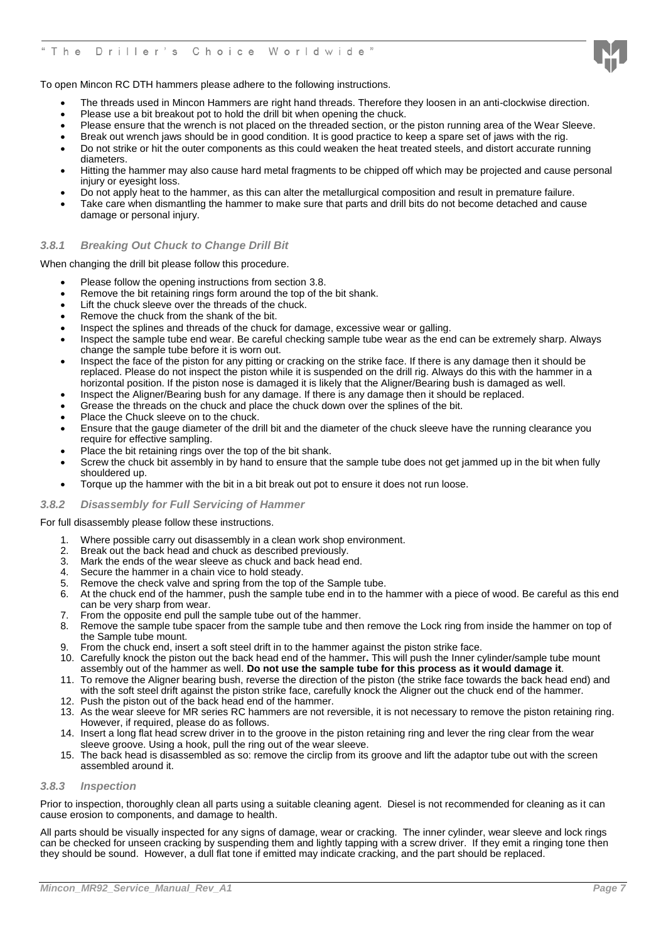

To open Mincon RC DTH hammers please adhere to the following instructions.

- The threads used in Mincon Hammers are right hand threads. Therefore they loosen in an anti-clockwise direction.
- Please use a bit breakout pot to hold the drill bit when opening the chuck.
- Please ensure that the wrench is not placed on the threaded section, or the piston running area of the Wear Sleeve.
- Break out wrench jaws should be in good condition. It is good practice to keep a spare set of jaws with the rig.
- Do not strike or hit the outer components as this could weaken the heat treated steels, and distort accurate running diameters.
- Hitting the hammer may also cause hard metal fragments to be chipped off which may be projected and cause personal injury or eyesight loss.
- Do not apply heat to the hammer, as this can alter the metallurgical composition and result in premature failure.
- Take care when dismantling the hammer to make sure that parts and drill bits do not become detached and cause damage or personal injury.

#### <span id="page-7-0"></span>*3.8.1 Breaking Out Chuck to Change Drill Bit*

When changing the drill bit please follow this procedure.

- Please follow the opening instructions from section 3.8.
- Remove the bit retaining rings form around the top of the bit shank.
- Lift the chuck sleeve over the threads of the chuck.
- Remove the chuck from the shank of the bit.
- Inspect the splines and threads of the chuck for damage, excessive wear or galling.
- Inspect the sample tube end wear. Be careful checking sample tube wear as the end can be extremely sharp. Always change the sample tube before it is worn out.
- Inspect the face of the piston for any pitting or cracking on the strike face. If there is any damage then it should be replaced. Please do not inspect the piston while it is suspended on the drill rig. Always do this with the hammer in a horizontal position. If the piston nose is damaged it is likely that the Aligner/Bearing bush is damaged as well.
- Inspect the Aligner/Bearing bush for any damage. If there is any damage then it should be replaced.
- Grease the threads on the chuck and place the chuck down over the splines of the bit.
- Place the Chuck sleeve on to the chuck.
- Ensure that the gauge diameter of the drill bit and the diameter of the chuck sleeve have the running clearance you require for effective sampling.
- Place the bit retaining rings over the top of the bit shank.
- Screw the chuck bit assembly in by hand to ensure that the sample tube does not get jammed up in the bit when fully shouldered up.
- Torque up the hammer with the bit in a bit break out pot to ensure it does not run loose.

#### <span id="page-7-1"></span>*3.8.2 Disassembly for Full Servicing of Hammer*

#### For full disassembly please follow these instructions.

- 1. Where possible carry out disassembly in a clean work shop environment.
- 2. Break out the back head and chuck as described previously.
- Mark the ends of the wear sleeve as chuck and back head end.
- 4. Secure the hammer in a chain vice to hold steady.
- 5. Remove the check valve and spring from the top of the Sample tube.
- 6. At the chuck end of the hammer, push the sample tube end in to the hammer with a piece of wood. Be careful as this end can be very sharp from wear.
- 7. From the opposite end pull the sample tube out of the hammer.
- 8. Remove the sample tube spacer from the sample tube and then remove the Lock ring from inside the hammer on top of the Sample tube mount.
- 9. From the chuck end, insert a soft steel drift in to the hammer against the piston strike face.
- 10. Carefully knock the piston out the back head end of the hammer**.** This will push the Inner cylinder/sample tube mount assembly out of the hammer as well. **Do not use the sample tube for this process as it would damage it**.
- 11. To remove the Aligner bearing bush, reverse the direction of the piston (the strike face towards the back head end) and with the soft steel drift against the piston strike face, carefully knock the Aligner out the chuck end of the hammer.
- 12. Push the piston out of the back head end of the hammer.
- 13. As the wear sleeve for MR series RC hammers are not reversible, it is not necessary to remove the piston retaining ring. However, if required, please do as follows.
- 14. Insert a long flat head screw driver in to the groove in the piston retaining ring and lever the ring clear from the wear sleeve groove. Using a hook, pull the ring out of the wear sleeve.
- 15. The back head is disassembled as so: remove the circlip from its groove and lift the adaptor tube out with the screen assembled around it.

#### <span id="page-7-2"></span>*3.8.3 Inspection*

Prior to inspection, thoroughly clean all parts using a suitable cleaning agent. Diesel is not recommended for cleaning as it can cause erosion to components, and damage to health.

All parts should be visually inspected for any signs of damage, wear or cracking. The inner cylinder, wear sleeve and lock rings can be checked for unseen cracking by suspending them and lightly tapping with a screw driver. If they emit a ringing tone then they should be sound. However, a dull flat tone if emitted may indicate cracking, and the part should be replaced.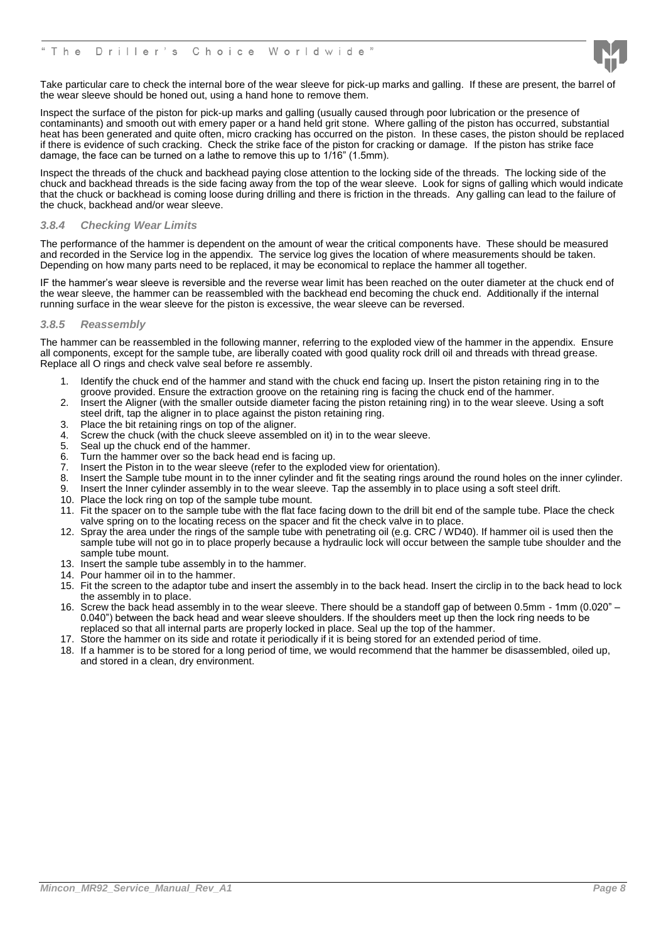

Take particular care to check the internal bore of the wear sleeve for pick-up marks and galling. If these are present, the barrel of the wear sleeve should be honed out, using a hand hone to remove them.

Inspect the surface of the piston for pick-up marks and galling (usually caused through poor lubrication or the presence of contaminants) and smooth out with emery paper or a hand held grit stone. Where galling of the piston has occurred, substantial heat has been generated and quite often, micro cracking has occurred on the piston. In these cases, the piston should be replaced if there is evidence of such cracking. Check the strike face of the piston for cracking or damage. If the piston has strike face damage, the face can be turned on a lathe to remove this up to 1/16" (1.5mm).

Inspect the threads of the chuck and backhead paying close attention to the locking side of the threads. The locking side of the chuck and backhead threads is the side facing away from the top of the wear sleeve. Look for signs of galling which would indicate that the chuck or backhead is coming loose during drilling and there is friction in the threads. Any galling can lead to the failure of the chuck, backhead and/or wear sleeve.

#### <span id="page-8-0"></span>*3.8.4 Checking Wear Limits*

The performance of the hammer is dependent on the amount of wear the critical components have. These should be measured and recorded in the Service log in the appendix. The service log gives the location of where measurements should be taken. Depending on how many parts need to be replaced, it may be economical to replace the hammer all together.

IF the hammer's wear sleeve is reversible and the reverse wear limit has been reached on the outer diameter at the chuck end of the wear sleeve, the hammer can be reassembled with the backhead end becoming the chuck end. Additionally if the internal running surface in the wear sleeve for the piston is excessive, the wear sleeve can be reversed.

#### <span id="page-8-1"></span>*3.8.5 Reassembly*

The hammer can be reassembled in the following manner, referring to the exploded view of the hammer in the appendix. Ensure all components, except for the sample tube, are liberally coated with good quality rock drill oil and threads with thread grease. Replace all O rings and check valve seal before re assembly.

- 1. Identify the chuck end of the hammer and stand with the chuck end facing up. Insert the piston retaining ring in to the groove provided. Ensure the extraction groove on the retaining ring is facing the chuck end of the hammer.
- 2. Insert the Aligner (with the smaller outside diameter facing the piston retaining ring) in to the wear sleeve. Using a soft steel drift, tap the aligner in to place against the piston retaining ring.
- 3. Place the bit retaining rings on top of the aligner.
- 4. Screw the chuck (with the chuck sleeve assembled on it) in to the wear sleeve.<br>5. Seal up the chuck end of the hammer
- Seal up the chuck end of the hammer.
- 6. Turn the hammer over so the back head end is facing up.
- 7. Insert the Piston in to the wear sleeve (refer to the exploded view for orientation).
- 8. Insert the Sample tube mount in to the inner cylinder and fit the seating rings around the round holes on the inner cylinder.
- 9. Insert the Inner cylinder assembly in to the wear sleeve. Tap the assembly in to place using a soft steel drift.
- 10. Place the lock ring on top of the sample tube mount.
- 11. Fit the spacer on to the sample tube with the flat face facing down to the drill bit end of the sample tube. Place the check valve spring on to the locating recess on the spacer and fit the check valve in to place.
- 12. Spray the area under the rings of the sample tube with penetrating oil (e.g. CRC / WD40). If hammer oil is used then the sample tube will not go in to place properly because a hydraulic lock will occur between the sample tube shoulder and the sample tube mount.
- 13. Insert the sample tube assembly in to the hammer.
- 14. Pour hammer oil in to the hammer.
- 15. Fit the screen to the adaptor tube and insert the assembly in to the back head. Insert the circlip in to the back head to lock the assembly in to place.
- 16. Screw the back head assembly in to the wear sleeve. There should be a standoff gap of between 0.5mm 1mm (0.020" 0.040") between the back head and wear sleeve shoulders. If the shoulders meet up then the lock ring needs to be replaced so that all internal parts are properly locked in place. Seal up the top of the hammer.
- 17. Store the hammer on its side and rotate it periodically if it is being stored for an extended period of time.
- 18. If a hammer is to be stored for a long period of time, we would recommend that the hammer be disassembled, oiled up, and stored in a clean, dry environment.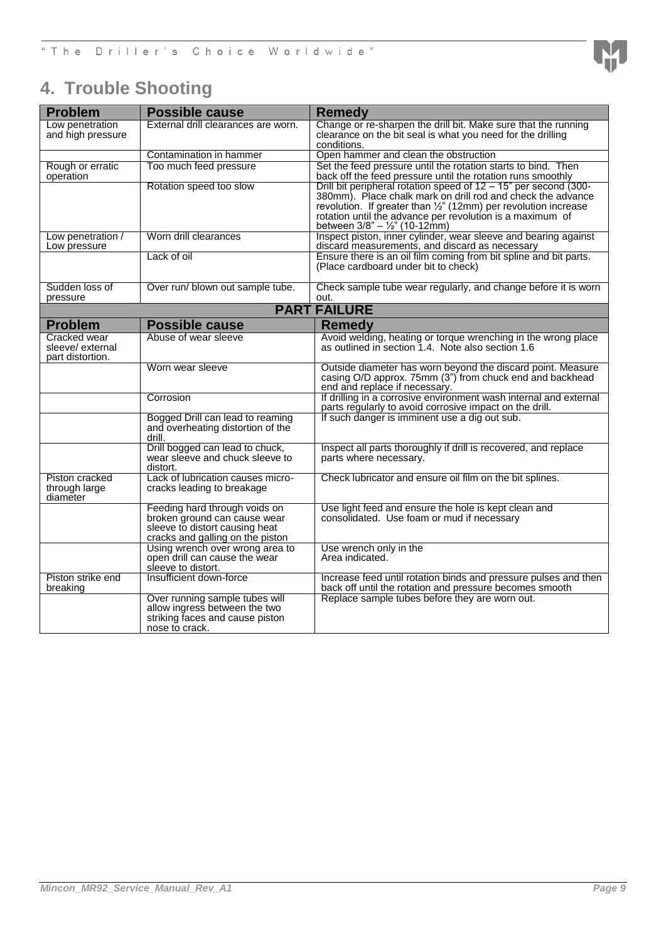## <span id="page-9-0"></span>**4. Trouble Shooting**

| <b>Problem</b>                      | <b>Possible cause</b>                                                 | <b>Remedy</b>                                                                                                                      |
|-------------------------------------|-----------------------------------------------------------------------|------------------------------------------------------------------------------------------------------------------------------------|
| Low penetration                     | External drill clearances are worn.                                   | Change or re-sharpen the drill bit. Make sure that the running                                                                     |
| and high pressure                   |                                                                       | clearance on the bit seal is what you need for the drilling<br>conditions.                                                         |
|                                     | Contamination in hammer                                               | Open hammer and clean the obstruction                                                                                              |
| Rough or erratic                    | Too much feed pressure                                                | Set the feed pressure until the rotation starts to bind. Then                                                                      |
| operation                           |                                                                       | back off the feed pressure until the rotation runs smoothly                                                                        |
|                                     | Rotation speed too slow                                               | Drill bit peripheral rotation speed of $12 - 15$ " per second (300-<br>380mm). Place chalk mark on drill rod and check the advance |
|                                     |                                                                       | revolution. If greater than $\frac{1}{2}$ " (12mm) per revolution increase                                                         |
|                                     |                                                                       | rotation until the advance per revolution is a maximum of                                                                          |
| Low penetration /                   | Worn drill clearances                                                 | between $3/8" - \frac{1}{2}"$ (10-12mm)<br>Inspect piston, inner cylinder, wear sleeve and bearing against                         |
| Low pressure                        |                                                                       | discard measurements, and discard as necessary                                                                                     |
|                                     | Lack of oil                                                           | Ensure there is an oil film coming from bit spline and bit parts.                                                                  |
|                                     |                                                                       | (Place cardboard under bit to check)                                                                                               |
| Sudden loss of                      | Over run/ blown out sample tube.                                      | Check sample tube wear regularly, and change before it is worn                                                                     |
| pressure                            |                                                                       | out.                                                                                                                               |
|                                     |                                                                       | <b>PART FAILURE</b>                                                                                                                |
| <b>Problem</b>                      | <b>Possible cause</b>                                                 | <b>Remedy</b>                                                                                                                      |
| Cracked wear                        | Abuse of wear sleeve                                                  | Avoid welding, heating or torque wrenching in the wrong place                                                                      |
| sleeve/external<br>part distortion. |                                                                       | as outlined in section 1.4. Note also section 1.6                                                                                  |
|                                     | Worn wear sleeve                                                      | Outside diameter has worn beyond the discard point. Measure                                                                        |
|                                     |                                                                       | casing O/D approx. 75mm (3") from chuck end and backhead                                                                           |
|                                     |                                                                       | end and replace if necessary.                                                                                                      |
|                                     | Corrosion                                                             | If drilling in a corrosive environment wash internal and external<br>parts regularly to avoid corrosive impact on the drill.       |
|                                     | Bogged Drill can lead to reaming<br>and overheating distortion of the | If such danger is imminent use a dig out sub.                                                                                      |
|                                     | drill.                                                                |                                                                                                                                    |
|                                     | Drill bogged can lead to chuck,                                       | Inspect all parts thoroughly if drill is recovered, and replace                                                                    |
|                                     | wear sleeve and chuck sleeve to                                       | parts where necessary.                                                                                                             |
| Piston cracked                      | distort.<br>Lack of lubrication causes micro-                         | Check lubricator and ensure oil film on the bit splines.                                                                           |
| through large                       | cracks leading to breakage                                            |                                                                                                                                    |
| diameter                            |                                                                       |                                                                                                                                    |
|                                     | Feeding hard through voids on<br>broken ground can cause wear         | Use light feed and ensure the hole is kept clean and<br>consolidated. Use foam or mud if necessary                                 |
|                                     | sleeve to distort causing heat                                        |                                                                                                                                    |
|                                     | cracks and galling on the piston                                      |                                                                                                                                    |
|                                     | Using wrench over wrong area to                                       | Use wrench only in the                                                                                                             |
|                                     | open drill can cause the wear<br>sleeve to distort.                   | Area indicated.                                                                                                                    |
| Piston strike end                   | Insufficient down-force                                               | Increase feed until rotation binds and pressure pulses and then                                                                    |
| breaking                            |                                                                       | back off until the rotation and pressure becomes smooth<br>Replace sample tubes before they are worn out.                          |
|                                     | Over running sample tubes will<br>allow ingress between the two       |                                                                                                                                    |
|                                     | striking faces and cause piston                                       |                                                                                                                                    |
|                                     | nose to crack.                                                        |                                                                                                                                    |

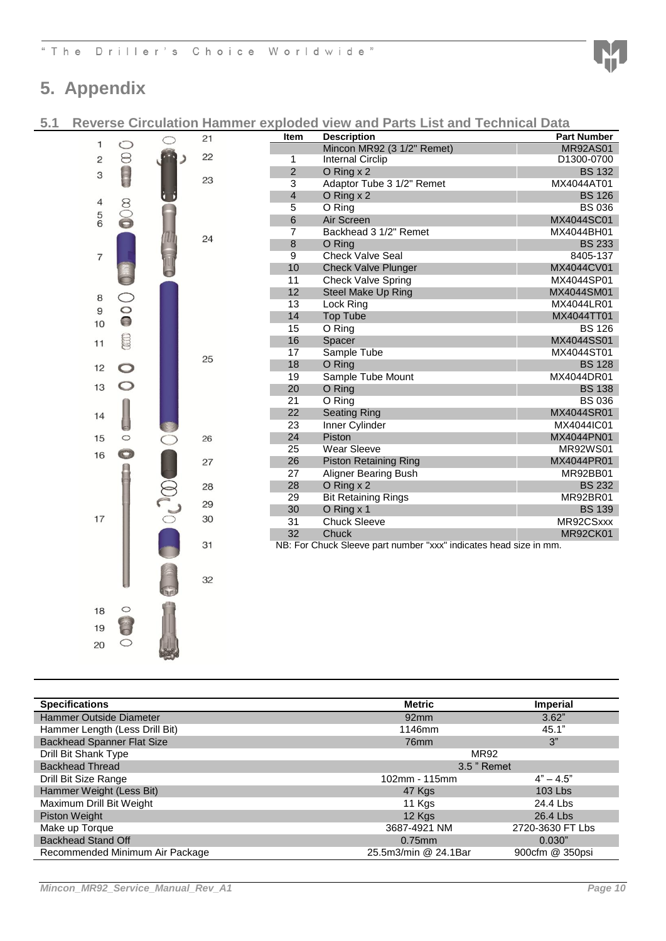

### <span id="page-10-0"></span>**5. Appendix**

<span id="page-10-1"></span>**5.1 Reverse Circulation Hammer exploded view and Parts List and Technical Data**

|                                       |                      | 21 | Item           | <b>Description</b>                                                | <b>Part Number</b> |
|---------------------------------------|----------------------|----|----------------|-------------------------------------------------------------------|--------------------|
| 1                                     | $\circ$              |    |                | Mincon MR92 (3 1/2" Remet)                                        | <b>MR92AS01</b>    |
| $\overline{c}$                        | $\circledcirc$       | 22 | 1              | <b>Internal Circlip</b>                                           | D1300-0700         |
| 3                                     |                      | 23 | $\overline{2}$ | $O$ Ring $x$ 2                                                    | <b>BS 132</b>      |
|                                       |                      |    | 3              | Adaptor Tube 3 1/2" Remet                                         | MX4044AT01         |
| 4                                     |                      |    | 4              | O Ring $x$ 2                                                      | <b>BS 126</b>      |
|                                       |                      |    | 5              | O Ring                                                            | <b>BS 036</b>      |
| $\begin{array}{c} 5 \\ 6 \end{array}$ | $\infty$             |    | 6              | Air Screen                                                        | MX4044SC01         |
|                                       |                      | 24 | 7              | Backhead 3 1/2" Remet                                             | MX4044BH01         |
|                                       |                      |    | 8              | O Ring                                                            | <b>BS 233</b>      |
| 7                                     |                      |    | $\overline{9}$ | <b>Check Valve Seal</b>                                           | 8405-137           |
|                                       |                      |    | 10             | <b>Check Valve Plunger</b>                                        | MX4044CV01         |
|                                       |                      |    | 11             | <b>Check Valve Spring</b>                                         | MX4044SP01         |
| 8                                     | $\bigcirc$           |    | 12             | Steel Make Up Ring                                                | MX4044SM01         |
| 9                                     |                      |    | 13             | Lock Ring                                                         | MX4044LR01         |
| 10                                    | $\overline{\bullet}$ |    | 14             | <b>Top Tube</b>                                                   | MX4044TT01         |
|                                       |                      |    | 15             | O Ring                                                            | <b>BS 126</b>      |
| 11                                    | S                    |    | 16             | Spacer                                                            | MX4044SS01         |
|                                       |                      | 25 | 17             | Sample Tube                                                       | MX4044ST01         |
| 12                                    |                      |    | 18             | O Ring                                                            | <b>BS 128</b>      |
|                                       |                      |    | 19             | Sample Tube Mount                                                 | MX4044DR01         |
| 13                                    |                      |    | 20             | O Ring                                                            | <b>BS 138</b>      |
|                                       |                      |    | 21             | O Ring                                                            | <b>BS 036</b>      |
| 14                                    |                      |    | 22             | <b>Seating Ring</b>                                               | MX4044SR01         |
|                                       |                      |    | 23             | Inner Cylinder                                                    | MX4044IC01         |
| 15                                    | $\circ$              | 26 | 24             | Piston                                                            | MX4044PN01         |
| 16                                    | $\bigcirc$           |    | 25             | <b>Wear Sleeve</b>                                                | <b>MR92WS01</b>    |
|                                       |                      | 27 | 26             | <b>Piston Retaining Ring</b>                                      | MX4044PR01         |
|                                       |                      |    | 27             | <b>Aligner Bearing Bush</b>                                       | MR92BB01           |
|                                       |                      | 28 | 28             | $O$ Ring $x$ 2                                                    | <b>BS 232</b>      |
|                                       |                      | 29 | 29             | <b>Bit Retaining Rings</b>                                        | MR92BR01           |
|                                       |                      |    | 30             | O Ring x 1                                                        | <b>BS 139</b>      |
| 17                                    |                      | 30 | 31             | <b>Chuck Sleeve</b>                                               | MR92CSxxx          |
|                                       |                      |    | 32             | Chuck                                                             | <b>MR92CK01</b>    |
|                                       |                      | 31 |                | NB: For Chuck Sleeve part number "xxx" indicates head size in mm. |                    |
|                                       |                      |    |                |                                                                   |                    |
|                                       |                      | 32 |                |                                                                   |                    |
|                                       |                      |    |                |                                                                   |                    |
|                                       |                      |    |                |                                                                   |                    |

| <b>Specifications</b>             | <b>Metric</b>        | <b>Imperial</b>  |
|-----------------------------------|----------------------|------------------|
| Hammer Outside Diameter           | 92mm                 | 3.62"            |
| Hammer Length (Less Drill Bit)    | 1146mm               | 45.1"            |
| <b>Backhead Spanner Flat Size</b> | 76 <sub>mm</sub>     | 3"               |
| Drill Bit Shank Type              | <b>MR92</b>          |                  |
| <b>Backhead Thread</b>            | 3.5 " Remet          |                  |
| Drill Bit Size Range              | 102mm - 115mm        | $4" - 4.5"$      |
| Hammer Weight (Less Bit)          | 47 Kgs               | $103$ Lbs        |
| Maximum Drill Bit Weight          | 11 Kgs               | 24.4 Lbs         |
| <b>Piston Weight</b>              | 12 Kgs               | 26.4 Lbs         |
| Make up Torque                    | 3687-4921 NM         | 2720-3630 FT Lbs |
| <b>Backhead Stand Off</b>         | $0.75$ mm            | 0.030"           |
| Recommended Minimum Air Package   | 25.5m3/min @ 24.1Bar | 900cfm @ 350psi  |

  $\circ$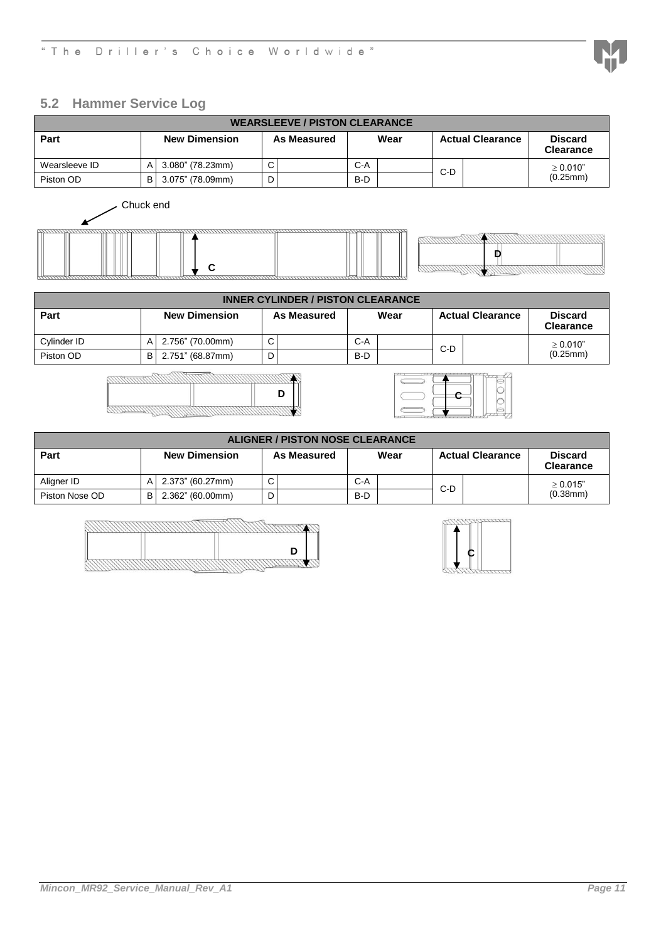### <span id="page-11-0"></span>**5.2 Hammer Service Log**

| <b>WEARSLEEVE / PISTON CLEARANCE</b> |   |                      |             |             |       |      |     |                         |                                    |
|--------------------------------------|---|----------------------|-------------|-------------|-------|------|-----|-------------------------|------------------------------------|
| Part                                 |   | <b>New Dimension</b> |             | As Measured |       | Wear |     | <b>Actual Clearance</b> | <b>Discard</b><br><b>Clearance</b> |
| Wearsleeve ID                        | A | 3.080" (78.23mm)     | $\sim$<br>ັ |             | $C-A$ |      | C-D |                         | $\geq 0.010$ "                     |
| Piston OD<br>B I                     |   | 3.075" (78.09mm)     | D           |             | $B-D$ |      |     |                         | (0.25mm)                           |
|                                      |   |                      |             |             |       |      |     |                         |                                    |



| <b>INNER CYLINDER / PISTON CLEARANCE</b> |                      |                  |             |  |                     |  |                         |  |                                    |
|------------------------------------------|----------------------|------------------|-------------|--|---------------------|--|-------------------------|--|------------------------------------|
| Part                                     | <b>New Dimension</b> |                  |             |  | Wear<br>As Measured |  | <b>Actual Clearance</b> |  | <b>Discard</b><br><b>Clearance</b> |
| Cylinder ID                              | A                    | 2.756" (70.00mm) | $\sim$<br>◡ |  | $C-A$               |  | C-D                     |  | > 0.010"                           |
| Piston OD                                | B I                  | 2.751" (68.87mm) |             |  | $B-D$               |  |                         |  | (0.25mm)                           |





| <b>ALIGNER / PISTON NOSE CLEARANCE</b> |     |                  |   |             |       |  |                         |  |                                    |
|----------------------------------------|-----|------------------|---|-------------|-------|--|-------------------------|--|------------------------------------|
| Part<br><b>New Dimension</b>           |     |                  |   | As Measured | Wear  |  | <b>Actual Clearance</b> |  | <b>Discard</b><br><b>Clearance</b> |
| Aligner ID                             |     | 2.373" (60.27mm) | ◡ |             | $C-A$ |  | $C-D$                   |  | $\geq 0.015$ "                     |
| Piston Nose OD                         | B I | 2.362" (60.00mm) | D |             | B-D   |  |                         |  | $(0.38$ mm $)$                     |

|  | ח |
|--|---|
|  |   |